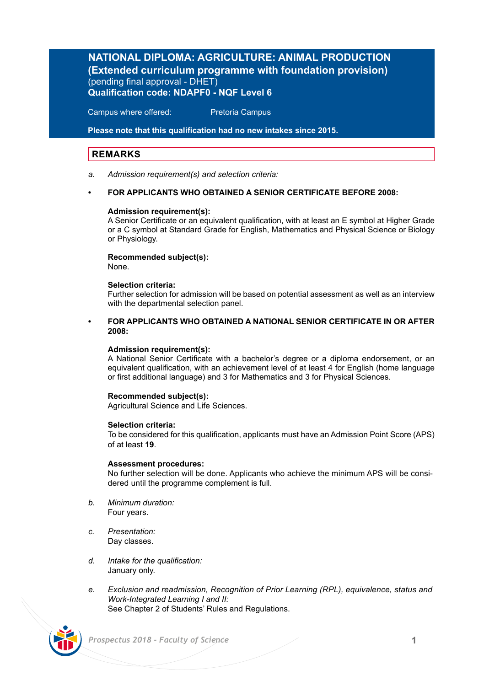## **NATIONAL DIPLOMA: AGRICULTURE: ANIMAL PRODUCTION (Extended curriculum programme with foundation provision)**  (pending final approval - DHET) **Qualification code: NDAPF0 - NQF Level 6**

Campus where offered: Pretoria Campus

**Please note that this qualification had no new intakes since 2015.**

## **REMARKS**

*a. Admission requirement(s) and selection criteria:*

## **• FOR APPLICANTS WHO OBTAINED A SENIOR CERTIFICATE BEFORE 2008:**

## **Admission requirement(s):**

A Senior Certificate or an equivalent qualification, with at least an E symbol at Higher Grade or a C symbol at Standard Grade for English, Mathematics and Physical Science or Biology or Physiology.

## **Recommended subject(s):**

None.

## **Selection criteria:**

Further selection for admission will be based on potential assessment as well as an interview with the departmental selection panel.

## **• FOR APPLICANTS WHO OBTAINED A NATIONAL SENIOR CERTIFICATE IN OR AFTER 2008:**

## **Admission requirement(s):**

A National Senior Certificate with a bachelor's degree or a diploma endorsement, or an equivalent qualification, with an achievement level of at least 4 for English (home language or first additional language) and 3 for Mathematics and 3 for Physical Sciences.

## **Recommended subject(s):**

Agricultural Science and Life Sciences.

## **Selection criteria:**

To be considered for this qualification, applicants must have an Admission Point Score (APS) of at least **19**.

## **Assessment procedures:**

No further selection will be done. Applicants who achieve the minimum APS will be considered until the programme complement is full.

- *b. Minimum duration:* Four years.
- *c. Presentation:* Day classes.
- *d. Intake for the qualification:* January only.
- *e. Exclusion and readmission, Recognition of Prior Learning (RPL), equivalence, status and Work-Integrated Learning I and II:* See Chapter 2 of Students' Rules and Regulations.

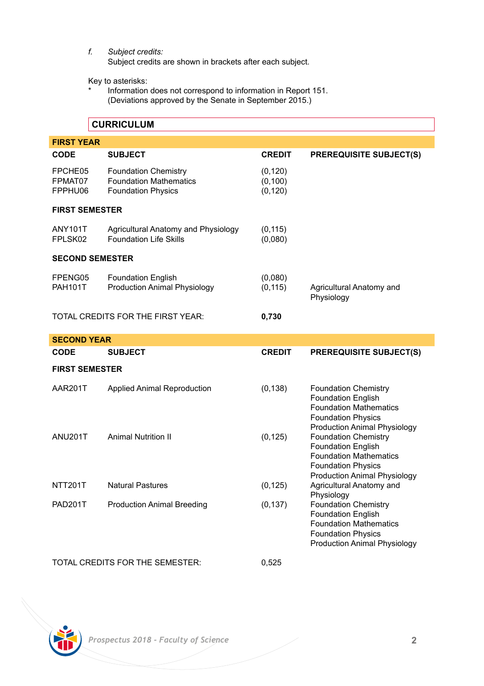*f. Subject credits:*

Subject credits are shown in brackets after each subject.

Key to asterisks:

Information does not correspond to information in Report 151. (Deviations approved by the Senate in September 2015.)

## **CURRICULUM**

| <b>FIRST YEAR</b>             |                                                                                           |                                  |                                                          |  |  |
|-------------------------------|-------------------------------------------------------------------------------------------|----------------------------------|----------------------------------------------------------|--|--|
| <b>CODE</b>                   | <b>SUBJECT</b>                                                                            | <b>CREDIT</b>                    | <b>PREREQUISITE SUBJECT(S)</b>                           |  |  |
| FPCHE05<br>FPMAT07<br>FPPHU06 | <b>Foundation Chemistry</b><br><b>Foundation Mathematics</b><br><b>Foundation Physics</b> | (0, 120)<br>(0, 100)<br>(0, 120) |                                                          |  |  |
| <b>FIRST SEMESTER</b>         |                                                                                           |                                  |                                                          |  |  |
| ANY101T<br>FPLSK02            | Agricultural Anatomy and Physiology<br><b>Foundation Life Skills</b>                      | (0, 115)<br>(0,080)              |                                                          |  |  |
| <b>SECOND SEMESTER</b>        |                                                                                           |                                  |                                                          |  |  |
| FPENG05<br><b>PAH101T</b>     | <b>Foundation English</b><br>Production Animal Physiology                                 | (0,080)<br>(0, 115)              | Agricultural Anatomy and<br>Physiology                   |  |  |
|                               | TOTAL CREDITS FOR THE FIRST YEAR:                                                         | 0,730                            |                                                          |  |  |
| <b>SECOND YEAR</b>            |                                                                                           |                                  |                                                          |  |  |
| <b>CODE</b>                   | <b>SUBJECT</b>                                                                            | <b>CREDIT</b>                    | <b>PREREQUISITE SUBJECT(S)</b>                           |  |  |
| <b>FIRST SEMESTER</b>         |                                                                                           |                                  |                                                          |  |  |
| AAR201T                       | <b>Applied Animal Reproduction</b>                                                        | (0, 138)                         | <b>Foundation Chemistry</b><br><b>Foundation English</b> |  |  |

ANU201T Animal Nutrition II (0,125) Foundation Chemistry

TOTAL CREDITS FOR THE SEMESTER: 0,525

NTT201T Natural Pastures (0,125) Agricultural Anatomy and



PAD201T Production Animal Breeding (0.137)

Foundation Mathematics Foundation Physics Production Animal Physiology

Foundation English Foundation Mathematics Foundation Physics Production Animal Physiology

Physiology<br>Foundation Chemistry

Foundation English Foundation Mathematics Foundation Physics Production Animal Physiology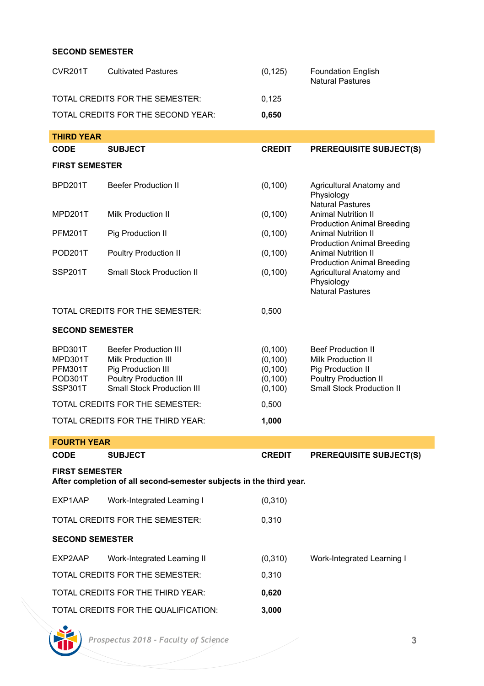## **SECOND SEMESTER**

| CVR201T                                                                                      | <b>Cultivated Pastures</b>                                                                                                        | (0, 125)                                                 | <b>Foundation English</b><br><b>Natural Pastures</b>                                                                                                                                                                                                                                                                                            |  |  |
|----------------------------------------------------------------------------------------------|-----------------------------------------------------------------------------------------------------------------------------------|----------------------------------------------------------|-------------------------------------------------------------------------------------------------------------------------------------------------------------------------------------------------------------------------------------------------------------------------------------------------------------------------------------------------|--|--|
| TOTAL CREDITS FOR THE SEMESTER:                                                              |                                                                                                                                   | 0,125                                                    |                                                                                                                                                                                                                                                                                                                                                 |  |  |
|                                                                                              | TOTAL CREDITS FOR THE SECOND YEAR:                                                                                                | 0,650                                                    |                                                                                                                                                                                                                                                                                                                                                 |  |  |
| <b>THIRD YEAR</b>                                                                            |                                                                                                                                   |                                                          |                                                                                                                                                                                                                                                                                                                                                 |  |  |
| <b>CODE</b>                                                                                  | <b>SUBJECT</b>                                                                                                                    | <b>CREDIT</b>                                            | <b>PREREQUISITE SUBJECT(S)</b>                                                                                                                                                                                                                                                                                                                  |  |  |
| <b>FIRST SEMESTER</b>                                                                        |                                                                                                                                   |                                                          |                                                                                                                                                                                                                                                                                                                                                 |  |  |
| BPD201T                                                                                      | <b>Beefer Production II</b>                                                                                                       | (0, 100)                                                 | Agricultural Anatomy and<br>Physiology<br><b>Natural Pastures</b><br><b>Animal Nutrition II</b><br><b>Production Animal Breeding</b><br><b>Animal Nutrition II</b><br><b>Production Animal Breeding</b><br><b>Animal Nutrition II</b><br><b>Production Animal Breeding</b><br>Agricultural Anatomy and<br>Physiology<br><b>Natural Pastures</b> |  |  |
| MPD201T                                                                                      | Milk Production II                                                                                                                | (0, 100)                                                 |                                                                                                                                                                                                                                                                                                                                                 |  |  |
| PFM201T                                                                                      | Pig Production II                                                                                                                 | (0, 100)                                                 |                                                                                                                                                                                                                                                                                                                                                 |  |  |
| POD <sub>201</sub> T                                                                         | Poultry Production II                                                                                                             | (0, 100)                                                 |                                                                                                                                                                                                                                                                                                                                                 |  |  |
| SSP201T                                                                                      | Small Stock Production II                                                                                                         | (0, 100)                                                 |                                                                                                                                                                                                                                                                                                                                                 |  |  |
| TOTAL CREDITS FOR THE SEMESTER:                                                              |                                                                                                                                   | 0,500                                                    |                                                                                                                                                                                                                                                                                                                                                 |  |  |
| <b>SECOND SEMESTER</b>                                                                       |                                                                                                                                   |                                                          |                                                                                                                                                                                                                                                                                                                                                 |  |  |
| BPD301T<br>MPD301T<br>PFM301T<br>POD301T<br>SSP301T                                          | <b>Beefer Production III</b><br>Milk Production III<br>Pig Production III<br>Poultry Production III<br>Small Stock Production III | (0, 100)<br>(0, 100)<br>(0, 100)<br>(0, 100)<br>(0, 100) | <b>Beef Production II</b><br><b>Milk Production II</b><br>Pig Production II<br>Poultry Production II<br><b>Small Stock Production II</b>                                                                                                                                                                                                        |  |  |
|                                                                                              | TOTAL CREDITS FOR THE SEMESTER:                                                                                                   | 0,500                                                    |                                                                                                                                                                                                                                                                                                                                                 |  |  |
| TOTAL CREDITS FOR THE THIRD YEAR:<br>1,000                                                   |                                                                                                                                   |                                                          |                                                                                                                                                                                                                                                                                                                                                 |  |  |
| <b>FOURTH YEAR</b>                                                                           |                                                                                                                                   |                                                          |                                                                                                                                                                                                                                                                                                                                                 |  |  |
| <b>CODE</b>                                                                                  | SUBJECT                                                                                                                           | <b>CREDIT</b>                                            | <b>PREREQUISITE SUBJECT(S)</b>                                                                                                                                                                                                                                                                                                                  |  |  |
| <b>FIRST SEMESTER</b><br>After completion of all second-semester subjects in the third year. |                                                                                                                                   |                                                          |                                                                                                                                                                                                                                                                                                                                                 |  |  |
| EXP1AAP                                                                                      | Work-Integrated Learning I                                                                                                        | (0,310)                                                  |                                                                                                                                                                                                                                                                                                                                                 |  |  |
|                                                                                              | TOTAL CREDITS FOR THE SEMESTER:                                                                                                   | 0,310                                                    |                                                                                                                                                                                                                                                                                                                                                 |  |  |
| <b>SECOND SEMESTER</b>                                                                       |                                                                                                                                   |                                                          |                                                                                                                                                                                                                                                                                                                                                 |  |  |
| EXP2AAP                                                                                      | Work-Integrated Learning II                                                                                                       | (0,310)                                                  | Work-Integrated Learning I                                                                                                                                                                                                                                                                                                                      |  |  |
| TOTAL CREDITS FOR THE SEMESTER:                                                              |                                                                                                                                   | 0,310                                                    |                                                                                                                                                                                                                                                                                                                                                 |  |  |
|                                                                                              | TOTAL CREDITS FOR THE THIRD YEAR:                                                                                                 | 0,620                                                    |                                                                                                                                                                                                                                                                                                                                                 |  |  |
|                                                                                              | TOTAL CREDITS FOR THE QUALIFICATION:                                                                                              | 3,000                                                    |                                                                                                                                                                                                                                                                                                                                                 |  |  |

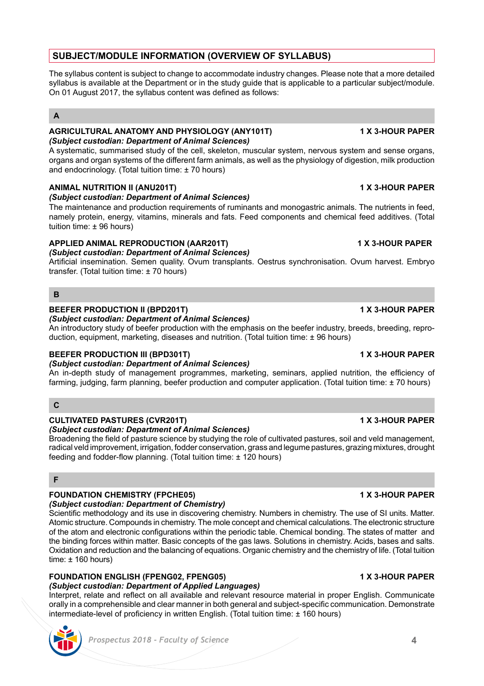## **SUBJECT/MODULE INFORMATION (OVERVIEW OF SYLLABUS)**

The syllabus content is subject to change to accommodate industry changes. Please note that a more detailed syllabus is available at the Department or in the study guide that is applicable to a particular subject/module. On 01 August 2017, the syllabus content was defined as follows:

## **A**

## **AGRICULTURAL ANATOMY AND PHYSIOLOGY (ANY101T) 1 X 3-HOUR PAPER** *(Subject custodian: Department of Animal Sciences)*

A systematic, summarised study of the cell, skeleton, muscular system, nervous system and sense organs, organs and organ systems of the different farm animals, as well as the physiology of digestion, milk production and endocrinology. (Total tuition time: ± 70 hours)

## **ANIMAL NUTRITION II (ANU201T) 1 X 3-HOUR PAPER**

## *(Subject custodian: Department of Animal Sciences)*

The maintenance and production requirements of ruminants and monogastric animals. The nutrients in feed, namely protein, energy, vitamins, minerals and fats. Feed components and chemical feed additives. (Total tuition time: ± 96 hours)

## **APPLIED ANIMAL REPRODUCTION (AAR201T) 1 X 3-HOUR PAPER**

*(Subject custodian: Department of Animal Sciences)* Artificial insemination. Semen quality. Ovum transplants. Oestrus synchronisation. Ovum harvest. Embryo transfer. (Total tuition time: ± 70 hours)

## **B**

## **BEEFER PRODUCTION II (BPD201T) 1 X 3-HOUR PAPER**

*(Subject custodian: Department of Animal Sciences)*

An introductory study of beefer production with the emphasis on the beefer industry, breeds, breeding, reproduction, equipment, marketing, diseases and nutrition. (Total tuition time: ± 96 hours)

## **BEEFER PRODUCTION III (BPD301T) 1 X 3-HOUR PAPER**

*(Subject custodian: Department of Animal Sciences)*

An in-depth study of management programmes, marketing, seminars, applied nutrition, the efficiency of farming, judging, farm planning, beefer production and computer application. (Total tuition time: ± 70 hours)

## **C**

## **CULTIVATED PASTURES (CVR201T) 1 X 3-HOUR PAPER**

## *(Subject custodian: Department of Animal Sciences)*

Broadening the field of pasture science by studying the role of cultivated pastures, soil and veld management, radical veld improvement, irrigation, fodder conservation, grass and legume pastures, grazing mixtures, drought feeding and fodder-flow planning. (Total tuition time: ± 120 hours)

## **F**

## **FOUNDATION CHEMISTRY (FPCHE05) 1 X 3-HOUR PAPER**

*(Subject custodian: Department of Chemistry)* Scientific methodology and its use in discovering chemistry. Numbers in chemistry. The use of SI units. Matter. Atomic structure. Compounds in chemistry. The mole concept and chemical calculations. The electronic structure of the atom and electronic configurations within the periodic table. Chemical bonding. The states of matter and the binding forces within matter. Basic concepts of the gas laws. Solutions in chemistry. Acids, bases and salts. Oxidation and reduction and the balancing of equations. Organic chemistry and the chemistry of life. (Total tuition time: ± 160 hours)

## **FOUNDATION ENGLISH (FPENG02, FPENG05) 1 X 3-HOUR PAPER**

*(Subject custodian: Department of Applied Languages)*

Interpret, relate and reflect on all available and relevant resource material in proper English. Communicate orally in a comprehensible and clear manner in both general and subject-specific communication. Demonstrate intermediate-level of proficiency in written English. (Total tuition time: ± 160 hours)

# *Prospectus 2018 - Faculty of Science* **4**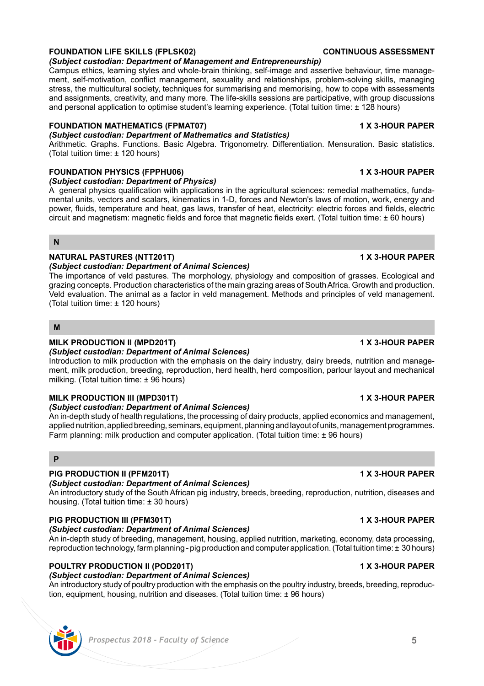ment, self-motivation, conflict management, sexuality and relationships, problem-solving skills, managing stress, the multicultural society, techniques for summarising and memorising, how to cope with assessments and assignments, creativity, and many more. The life-skills sessions are participative, with group discussions and personal application to optimise student's learning experience. (Total tuition time: ± 128 hours)

## **FOUNDATION MATHEMATICS (FPMAT07) 1 X 3-HOUR PAPER**

## *(Subject custodian: Department of Mathematics and Statistics)*

Arithmetic. Graphs. Functions. Basic Algebra. Trigonometry. Differentiation. Mensuration. Basic statistics. (Total tuition time: ± 120 hours)

## **FOUNDATION PHYSICS (FPPHU06) 1 X 3-HOUR PAPER** *(Subject custodian: Department of Physics)*

A general physics qualification with applications in the agricultural sciences: remedial mathematics, fundamental units, vectors and scalars, kinematics in 1-D, forces and Newton's laws of motion, work, energy and power, fluids, temperature and heat, gas laws, transfer of heat, electricity: electric forces and fields, electric circuit and magnetism: magnetic fields and force that magnetic fields exert. (Total tuition time: ± 60 hours)

## **N**

## **NATURAL PASTURES (NTT201T) 1 X 3-HOUR PAPER**

## *(Subject custodian: Department of Animal Sciences)*

The importance of veld pastures. The morphology, physiology and composition of grasses. Ecological and grazing concepts. Production characteristics of the main grazing areas of South Africa. Growth and production. Veld evaluation. The animal as a factor in veld management. Methods and principles of veld management. (Total tuition time: ± 120 hours)

## **M**

## **MILK PRODUCTION II (MPD201T) 1 X 3-HOUR PAPER**

## *(Subject custodian: Department of Animal Sciences)*

Introduction to milk production with the emphasis on the dairy industry, dairy breeds, nutrition and management, milk production, breeding, reproduction, herd health, herd composition, parlour layout and mechanical milking. (Total tuition time: ± 96 hours)

## **MILK PRODUCTION III (MPD301T) 1 X 3-HOUR PAPER**

## *(Subject custodian: Department of Animal Sciences)*

An in-depth study of health regulations, the processing of dairy products, applied economics and management, applied nutrition, applied breeding, seminars, equipment, planning and layout of units, management programmes. Farm planning: milk production and computer application. (Total tuition time: ± 96 hours)

## **P**

## **PIG PRODUCTION II (PFM201T) 1 X 3-HOUR PAPER**

## *(Subject custodian: Department of Animal Sciences)*

An introductory study of the South African pig industry, breeds, breeding, reproduction, nutrition, diseases and housing. (Total tuition time: ± 30 hours)

## **PIG PRODUCTION III (PFM301T) 1 X 3-HOUR PAPER**

## *(Subject custodian: Department of Animal Sciences)*

An in-depth study of breeding, management, housing, applied nutrition, marketing, economy, data processing, reproduction technology, farm planning - pig production and computer application. (Total tuition time: ±30 hours)

## **POULTRY PRODUCTION II (POD201T) 1 X 3-HOUR PAPER**

## *(Subject custodian: Department of Animal Sciences)*

An introductory study of poultry production with the emphasis on the poultry industry, breeds, breeding, reproduction, equipment, housing, nutrition and diseases. (Total tuition time: ± 96 hours)

## **FOUNDATION LIFE SKILLS (FPLSK02) CONTINUOUS ASSESSMENT**

## *(Subject custodian: Department of Management and Entrepreneurship)*

## Campus ethics, learning styles and whole-brain thinking, self-image and assertive behaviour, time manage-